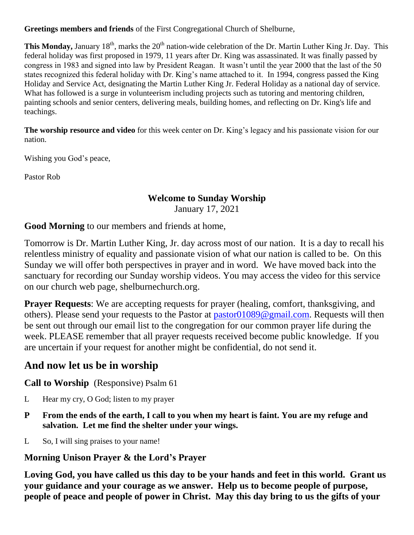**Greetings members and friends** of the First Congregational Church of Shelburne,

This Monday, January 18<sup>th</sup>, marks the 20<sup>th</sup> nation-wide celebration of the Dr. Martin Luther King Jr. Day. This federal holiday was first proposed in 1979, 11 years after Dr. King was assassinated. It was finally passed by congress in 1983 and signed into law by President Reagan. It wasn't until the year 2000 that the last of the 50 states recognized this federal holiday with Dr. King's name attached to it. In 1994, congress passed the King Holiday and Service Act, designating the Martin Luther King Jr. Federal Holiday as a national day of service. What has followed is a surge in volunteerism including projects such as tutoring and mentoring children, painting schools and senior centers, delivering meals, building homes, and reflecting on Dr. King's life and teachings.

**The worship resource and video** for this week center on Dr. King's legacy and his passionate vision for our nation.

Wishing you God's peace,

Pastor Rob

#### **Welcome to Sunday Worship**

January 17, 2021

**Good Morning** to our members and friends at home,

Tomorrow is Dr. Martin Luther King, Jr. day across most of our nation. It is a day to recall his relentless ministry of equality and passionate vision of what our nation is called to be. On this Sunday we will offer both perspectives in prayer and in word. We have moved back into the sanctuary for recording our Sunday worship videos. You may access the video for this service on our church web page, shelburnechurch.org.

**Prayer Requests**: We are accepting requests for prayer (healing, comfort, thanksgiving, and others). Please send your requests to the Pastor at [pastor01089@gmail.com.](mailto:pastor01089@gmail.com) Requests will then be sent out through our email list to the congregation for our common prayer life during the week. PLEASE remember that all prayer requests received become public knowledge. If you are uncertain if your request for another might be confidential, do not send it.

# **And now let us be in worship**

**Call to Worship** (Responsive) Psalm 61

- L Hear my cry, O God; listen to my prayer
- **P From the ends of the earth, I call to you when my heart is faint. You are my refuge and salvation. Let me find the shelter under your wings.**
- L So, I will sing praises to your name!

# **Morning Unison Prayer & the Lord's Prayer**

**Loving God, you have called us this day to be your hands and feet in this world. Grant us your guidance and your courage as we answer. Help us to become people of purpose, people of peace and people of power in Christ. May this day bring to us the gifts of your**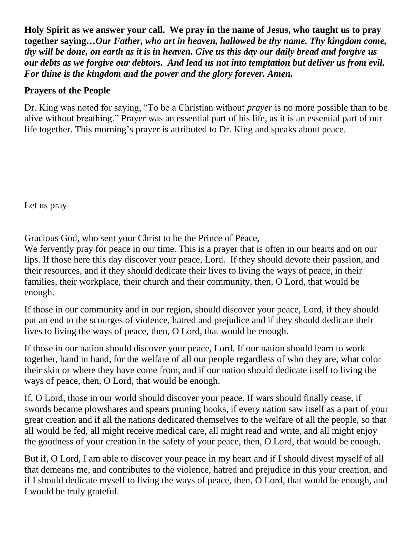**Holy Spirit as we answer your call. We pray in the name of Jesus, who taught us to pray together saying…***Our Father, who art in heaven, hallowed be thy name. Thy kingdom come, thy will be done, on earth as it is in heaven. Give us this day our daily bread and forgive us our debts as we forgive our debtors. And lead us not into temptation but deliver us from evil. For thine is the kingdom and the power and the glory forever. Amen.*

#### **Prayers of the People**

Dr. King was noted for saying, "To be a Christian without *prayer* is no more possible than to be alive without breathing." Prayer was an essential part of his life, as it is an essential part of our life together. This morning's prayer is attributed to Dr. King and speaks about peace.

Let us pray

Gracious God, who sent your Christ to be the Prince of Peace,

We fervently pray for peace in our time. This is a prayer that is often in our hearts and on our lips. If those here this day discover your peace, Lord. If they should devote their passion, and their resources, and if they should dedicate their lives to living the ways of peace, in their families, their workplace, their church and their community, then, O Lord, that would be enough.

If those in our community and in our region, should discover your peace, Lord, if they should put an end to the scourges of violence, hatred and prejudice and if they should dedicate their lives to living the ways of peace, then, O Lord, that would be enough.

If those in our nation should discover your peace, Lord. If our nation should learn to work together, hand in hand, for the welfare of all our people regardless of who they are, what color their skin or where they have come from, and if our nation should dedicate itself to living the ways of peace, then, O Lord, that would be enough.

If, O Lord, those in our world should discover your peace. If wars should finally cease, if swords became plowshares and spears pruning hooks, if every nation saw itself as a part of your great creation and if all the nations dedicated themselves to the welfare of all the people, so that all would be fed, all might receive medical care, all might read and write, and all might enjoy the goodness of your creation in the safety of your peace, then, O Lord, that would be enough.

But if, O Lord, I am able to discover your peace in my heart and if I should divest myself of all that demeans me, and contributes to the violence, hatred and prejudice in this your creation, and if I should dedicate myself to living the ways of peace, then, O Lord, that would be enough, and I would be truly grateful.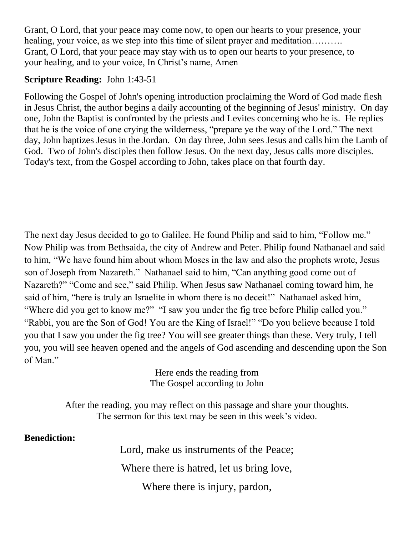Grant, O Lord, that your peace may come now, to open our hearts to your presence, your healing, your voice, as we step into this time of silent prayer and meditation………. Grant, O Lord, that your peace may stay with us to open our hearts to your presence, to your healing, and to your voice, In Christ's name, Amen

### **Scripture Reading:** John 1:43-51

Following the Gospel of John's opening introduction proclaiming the Word of God made flesh in Jesus Christ, the author begins a daily accounting of the beginning of Jesus' ministry. On day one, John the Baptist is confronted by the priests and Levites concerning who he is. He replies that he is the voice of one crying the wilderness, "prepare ye the way of the Lord." The next day, John baptizes Jesus in the Jordan. On day three, John sees Jesus and calls him the Lamb of God. Two of John's disciples then follow Jesus. On the next day, Jesus calls more disciples. Today's text, from the Gospel according to John, takes place on that fourth day.

The next day Jesus decided to go to Galilee. He found Philip and said to him, "Follow me." Now Philip was from Bethsaida, the city of Andrew and Peter. Philip found Nathanael and said to him, "We have found him about whom Moses in the law and also the prophets wrote, Jesus son of Joseph from Nazareth." Nathanael said to him, "Can anything good come out of Nazareth?" "Come and see," said Philip. When Jesus saw Nathanael coming toward him, he said of him, "here is truly an Israelite in whom there is no deceit!" Nathanael asked him, "Where did you get to know me?" "I saw you under the fig tree before Philip called you." "Rabbi, you are the Son of God! You are the King of Israel!" "Do you believe because I told you that I saw you under the fig tree? You will see greater things than these. Very truly, I tell you, you will see heaven opened and the angels of God ascending and descending upon the Son of Man."

> Here ends the reading from The Gospel according to John

After the reading, you may reflect on this passage and share your thoughts. The sermon for this text may be seen in this week's video.

**Benediction:** 

Lord, make us instruments of the Peace;

Where there is hatred, let us bring love,

Where there is injury, pardon,